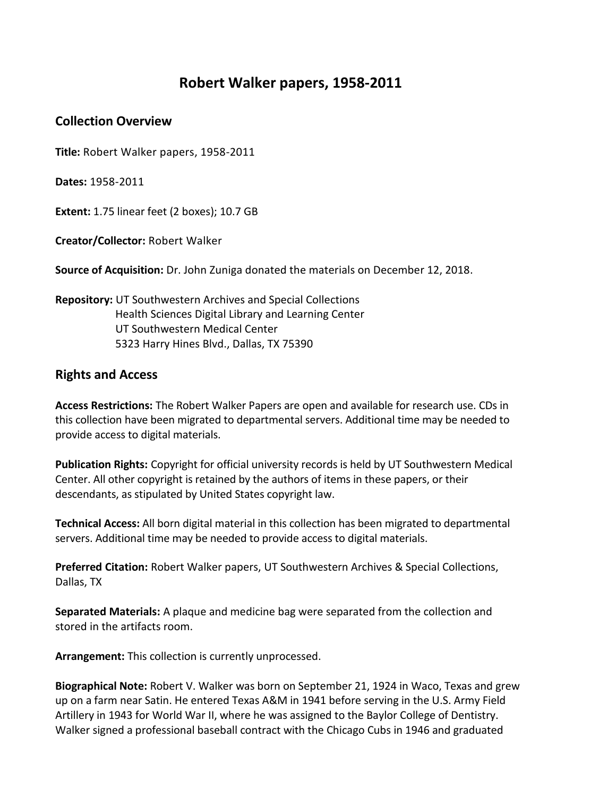## **Robert Walker papers, 1958-2011**

## **Collection Overview**

**Title:** Robert Walker papers, 1958-2011

**Dates:** 1958-2011

**Extent:** 1.75 linear feet (2 boxes); 10.7 GB

**Creator/Collector:** Robert Walker

**Source of Acquisition:** Dr. John Zuniga donated the materials on December 12, 2018.

**Repository:** UT Southwestern Archives and Special Collections Health Sciences Digital Library and Learning Center UT Southwestern Medical Center 5323 Harry Hines Blvd., Dallas, TX 75390

## **Rights and Access**

**Access Restrictions:** The Robert Walker Papers are open and available for research use. CDs in this collection have been migrated to departmental servers. Additional time may be needed to provide access to digital materials.

**Publication Rights:** Copyright for official university records is held by UT Southwestern Medical Center. All other copyright is retained by the authors of items in these papers, or their descendants, as stipulated by United States copyright law.

**Technical Access:** All born digital material in this collection has been migrated to departmental servers. Additional time may be needed to provide access to digital materials.

**Preferred Citation:** Robert Walker papers, UT Southwestern Archives & Special Collections, Dallas, TX

**Separated Materials:** A plaque and medicine bag were separated from the collection and stored in the artifacts room.

**Arrangement:** This collection is currently unprocessed.

**Biographical Note:** Robert V. Walker was born on September 21, 1924 in Waco, Texas and grew up on a farm near Satin. He entered Texas A&M in 1941 before serving in the U.S. Army Field Artillery in 1943 for World War II, where he was assigned to the Baylor College of Dentistry. Walker signed a professional baseball contract with the Chicago Cubs in 1946 and graduated